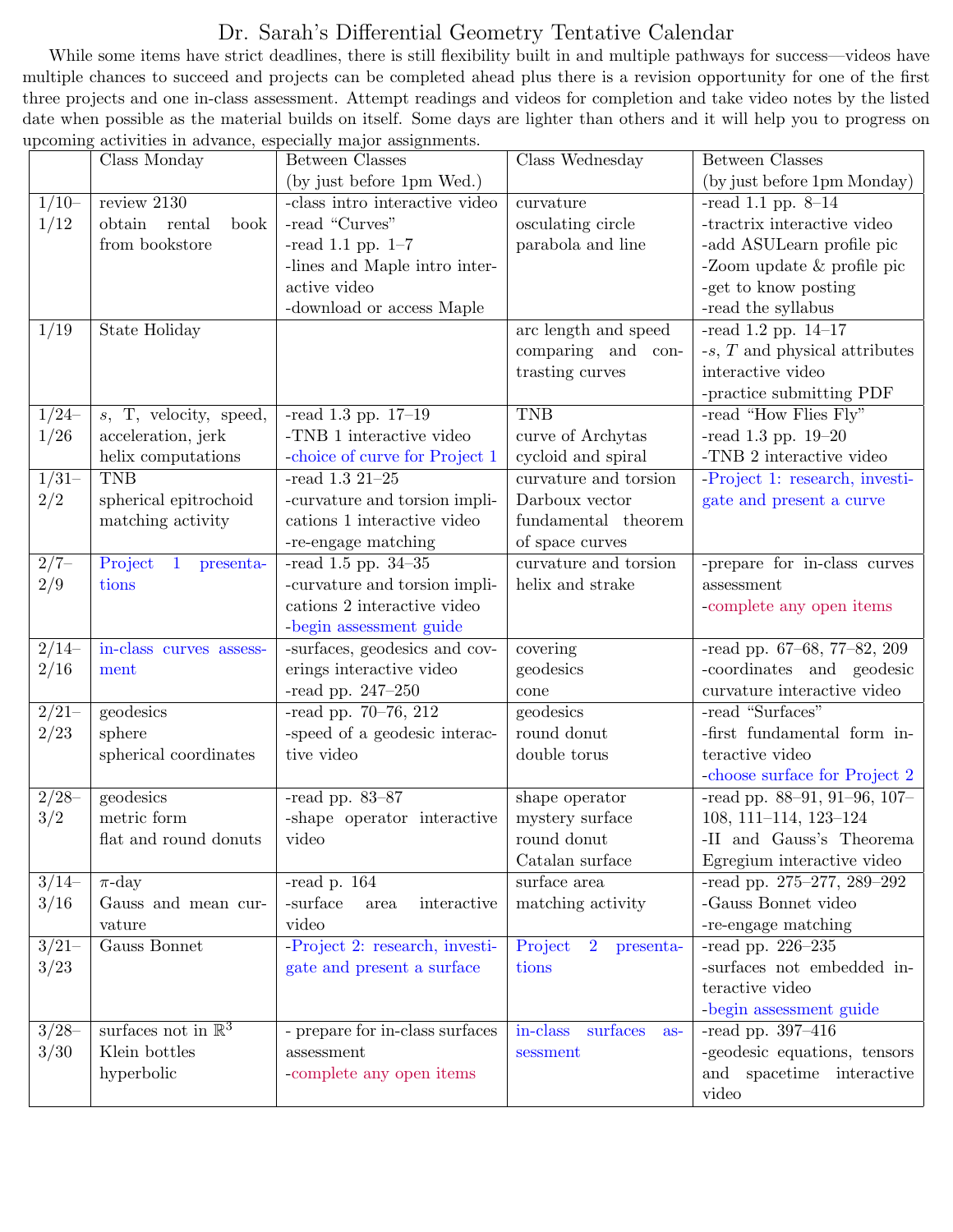## Dr. Sarah's Differential Geometry Tentative Calendar

While some items have strict deadlines, there is still flexibility built in and multiple pathways for success—videos have multiple chances to succeed and projects can be completed ahead plus there is a revision opportunity for one of the first three projects and one in-class assessment. Attempt readings and videos for completion and take video notes by the listed date when possible as the material builds on itself. Some days are lighter than others and it will help you to progress on upcoming activities in advance, especially major assignments.

|                | Class Monday                         | $500$ $\ldots$ $500$ $\ldots$ $500$ $\ldots$ $500$<br>Between Classes | Class Wednesday                        | Between Classes                      |
|----------------|--------------------------------------|-----------------------------------------------------------------------|----------------------------------------|--------------------------------------|
|                |                                      | (by just before 1pm Wed.)                                             |                                        | (by just before 1pm Monday)          |
| $1/10-$        | review 2130                          | -class intro interactive video                                        | curvature                              | -read 1.1 pp. $8-14$                 |
| 1/12           | obtain<br>rental<br>book             | -read "Curves"                                                        | osculating circle                      | -tractrix interactive video          |
|                | from bookstore                       | -read 1.1 pp. $1-7$                                                   | parabola and line                      | -add ASULearn profile pic            |
|                |                                      | -lines and Maple intro inter-                                         |                                        | -Zoom update $\&$ profile pic        |
|                |                                      | active video                                                          |                                        | -get to know posting                 |
|                |                                      | -download or access Maple                                             |                                        | -read the syllabus                   |
| 1/19           | State Holiday                        |                                                                       | arc length and speed                   | -read 1.2 pp. $14-17$                |
|                |                                      |                                                                       | comparing and con-                     | $-s$ , $T$ and physical attributes   |
|                |                                      |                                                                       | trasting curves                        | interactive video                    |
|                |                                      |                                                                       |                                        | -practice submitting PDF             |
| $1/24-$        | $s$ , T, velocity, speed,            | -read $1.3$ pp. $17-19$                                               | <b>TNB</b>                             | -read "How Flies Fly"                |
| 1/26           | acceleration, jerk                   | -TNB 1 interactive video                                              | curve of Archytas                      | -read 1.3 pp. $19-20$                |
|                | helix computations                   | -choice of curve for Project 1                                        | cycloid and spiral                     | -TNB 2 interactive video             |
| $\frac{1}{31}$ | <b>TNB</b>                           | -read $1.3\ 21\text{--}25$                                            | curvature and torsion                  | -Project 1: research, investi-       |
| 2/2            | spherical epitrochoid                | -curvature and torsion impli-                                         | Darboux vector                         | gate and present a curve             |
|                | matching activity                    | cations 1 interactive video                                           | fundamental theorem                    |                                      |
|                |                                      | -re-engage matching                                                   | of space curves                        |                                      |
| $2/7-$         | Project<br>$\mathbf{1}$<br>presenta- | $-{\rm read}$ 1.5 pp. 34-35                                           | curvature and torsion                  | -prepare for in-class curves         |
| 2/9            | tions                                | -curvature and torsion impli-                                         | helix and strake                       | assessment                           |
|                |                                      | cations 2 interactive video                                           |                                        | -complete any open items             |
|                |                                      | -begin assessment guide                                               |                                        |                                      |
| $\frac{2}{14}$ | in-class curves assess-              | -surfaces, geodesics and cov-                                         | covering                               | -read pp. 67-68, 77-82, 209          |
| 2/16           | ment                                 | erings interactive video                                              | geodesics                              | -coordinates and geodesic            |
|                |                                      | -read pp. $247-250$                                                   | cone                                   | curvature interactive video          |
| $2/21-$        | geodesics                            | $-{\rm read\ pp}.$ 70–76, 212                                         | geodesics                              | -read "Surfaces"                     |
| $2/23\,$       | sphere                               | -speed of a geodesic interac-                                         | round donut                            | -first fundamental form in-          |
|                | spherical coordinates                | tive video                                                            | double torus                           | teractive video                      |
|                |                                      |                                                                       |                                        | -choose surface for Project 2        |
| $\frac{2}{28}$ | geodesics                            | -read pp. $83-87$                                                     | shape operator                         | -read pp. $88-91$ , $91-96$ , $107-$ |
| 3/2            | metric form                          | -shape operator interactive                                           | ${\rm mystery}$ surface                | 108, 111-114, 123-124                |
|                | flat and round donuts                | video                                                                 | round donut                            | -II and Gauss's Theorema             |
|                |                                      |                                                                       | Catalan surface                        | Egregium interactive video           |
| $3/14-$        | $\pi$ -day                           | -read p. $164$                                                        | surface area                           | -read pp. 275-277, 289-292           |
| 3/16           | Gauss and mean cur-                  | -surface<br>interactive<br>area                                       | matching activity                      | -Gauss Bonnet video                  |
|                | vature                               | video                                                                 |                                        | -re-engage matching                  |
| $3/21-$        | Gauss Bonnet                         | -Project 2: research, investi-                                        | $\overline{2}$<br>Project<br>presenta- | -read pp. $226-235$                  |
| 3/23           |                                      | gate and present a surface                                            | tions                                  | -surfaces not embedded in-           |
|                |                                      |                                                                       |                                        | teractive video                      |
|                |                                      |                                                                       |                                        | -begin assessment guide              |
| $\frac{3}{28}$ | surfaces not in $\mathbb{R}^3$       | - prepare for in-class surfaces                                       | in-class<br>surfaces<br>$as-$          | -read pp. $397-416$                  |
| 3/30           | Klein bottles                        | assessment                                                            | sessment                               | -geodesic equations, tensors         |
|                | hyperbolic                           | -complete any open items                                              |                                        | and spacetime interactive            |
|                |                                      |                                                                       |                                        | video                                |